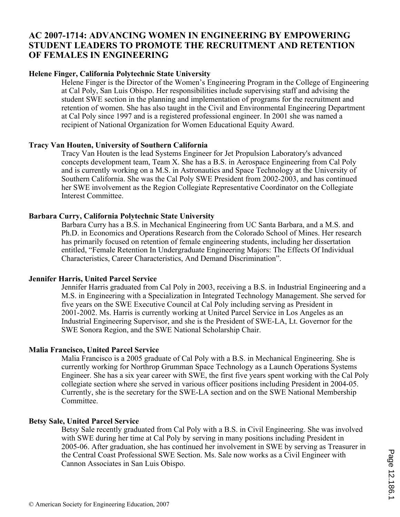## **AC 2007-1714: ADVANCING WOMEN IN ENGINEERING BY EMPOWERING STUDENT LEADERS TO PROMOTE THE RECRUITMENT AND RETENTION OF FEMALES IN ENGINEERING**

#### **Helene Finger, California Polytechnic State University**

Helene Finger is the Director of the Women's Engineering Program in the College of Engineering at Cal Poly, San Luis Obispo. Her responsibilities include supervising staff and advising the student SWE section in the planning and implementation of programs for the recruitment and retention of women. She has also taught in the Civil and Environmental Engineering Department at Cal Poly since 1997 and is a registered professional engineer. In 2001 she was named a recipient of National Organization for Women Educational Equity Award.

#### **Tracy Van Houten, University of Southern California**

Tracy Van Houten is the lead Systems Engineer for Jet Propulsion Laboratory's advanced concepts development team, Team X. She has a B.S. in Aerospace Engineering from Cal Poly and is currently working on a M.S. in Astronautics and Space Technology at the University of Southern California. She was the Cal Poly SWE President from 2002-2003, and has continued her SWE involvement as the Region Collegiate Representative Coordinator on the Collegiate Interest Committee.

#### **Barbara Curry, California Polytechnic State University**

Barbara Curry has a B.S. in Mechanical Engineering from UC Santa Barbara, and a M.S. and Ph.D. in Economics and Operations Research from the Colorado School of Mines. Her research has primarily focused on retention of female engineering students, including her dissertation entitled, "Female Retention In Undergraduate Engineering Majors: The Effects Of Individual Characteristics, Career Characteristics, And Demand Discrimination".

#### **Jennifer Harris, United Parcel Service**

Jennifer Harris graduated from Cal Poly in 2003, receiving a B.S. in Industrial Engineering and a M.S. in Engineering with a Specialization in Integrated Technology Management. She served for five years on the SWE Executive Council at Cal Poly including serving as President in 2001-2002. Ms. Harris is currently working at United Parcel Service in Los Angeles as an Industrial Engineering Supervisor, and she is the President of SWE-LA, Lt. Governor for the SWE Sonora Region, and the SWE National Scholarship Chair.

#### **Malia Francisco, United Parcel Service**

Malia Francisco is a 2005 graduate of Cal Poly with a B.S. in Mechanical Engineering. She is currently working for Northrop Grumman Space Technology as a Launch Operations Systems Engineer. She has a six year career with SWE, the first five years spent working with the Cal Poly collegiate section where she served in various officer positions including President in 2004-05. Currently, she is the secretary for the SWE-LA section and on the SWE National Membership Committee.

#### **Betsy Sale, United Parcel Service**

Betsy Sale recently graduated from Cal Poly with a B.S. in Civil Engineering. She was involved with SWE during her time at Cal Poly by serving in many positions including President in 2005-06. After graduation, she has continued her involvement in SWE by serving as Treasurer in the Central Coast Professional SWE Section. Ms. Sale now works as a Civil Engineer with Cannon Associates in San Luis Obispo.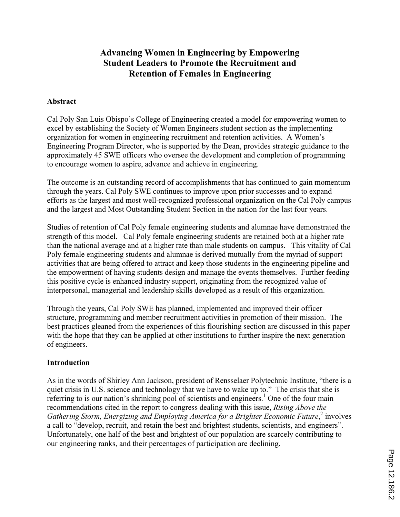# **Advancing Women in Engineering by Empowering Student Leaders to Promote the Recruitment and Retention of Females in Engineering**

#### **Abstract**

Cal Poly San Luis Obispo's College of Engineering created a model for empowering women to excel by establishing the Society of Women Engineers student section as the implementing organization for women in engineering recruitment and retention activities. A Women's Engineering Program Director, who is supported by the Dean, provides strategic guidance to the approximately 45 SWE officers who oversee the development and completion of programming to encourage women to aspire, advance and achieve in engineering.

The outcome is an outstanding record of accomplishments that has continued to gain momentum through the years. Cal Poly SWE continues to improve upon prior successes and to expand efforts as the largest and most well-recognized professional organization on the Cal Poly campus and the largest and Most Outstanding Student Section in the nation for the last four years.

Studies of retention of Cal Poly female engineering students and alumnae have demonstrated the strength of this model. Cal Poly female engineering students are retained both at a higher rate than the national average and at a higher rate than male students on campus. This vitality of Cal Poly female engineering students and alumnae is derived mutually from the myriad of support activities that are being offered to attract and keep those students in the engineering pipeline and the empowerment of having students design and manage the events themselves. Further feeding this positive cycle is enhanced industry support, originating from the recognized value of interpersonal, managerial and leadership skills developed as a result of this organization.

Through the years, Cal Poly SWE has planned, implemented and improved their officer structure, programming and member recruitment activities in promotion of their mission. The best practices gleaned from the experiences of this flourishing section are discussed in this paper with the hope that they can be applied at other institutions to further inspire the next generation of engineers.

### **Introduction**

As in the words of Shirley Ann Jackson, president of Rensselaer Polytechnic Institute, "there is a quiet crisis in U.S. science and technology that we have to wake up to." The crisis that she is referring to is our nation's shrinking pool of scientists and engineers.<sup>1</sup> One of the four main recommendations cited in the report to congress dealing with this issue, *Rising Above the*  Gathering Storm, Energizing and Employing America for a Brighter Economic Future,<sup>2</sup> involves a call to "develop, recruit, and retain the best and brightest students, scientists, and engineers". Unfortunately, one half of the best and brightest of our population are scarcely contributing to our engineering ranks, and their percentages of participation are declining.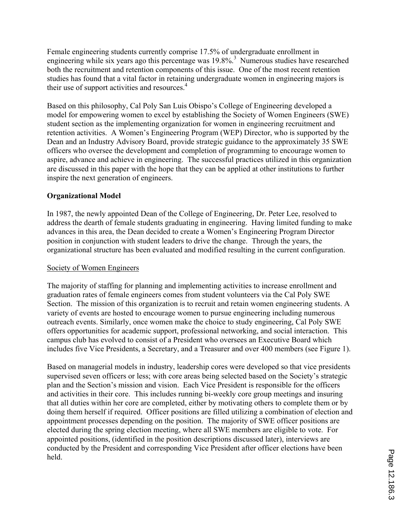Female engineering students currently comprise 17.5% of undergraduate enrollment in engineering while six years ago this percentage was 19.8%.<sup>3</sup> Numerous studies have researched both the recruitment and retention components of this issue. One of the most recent retention studies has found that a vital factor in retaining undergraduate women in engineering majors is their use of support activities and resources.<sup>4</sup>

Based on this philosophy, Cal Poly San Luis Obispo's College of Engineering developed a model for empowering women to excel by establishing the Society of Women Engineers (SWE) student section as the implementing organization for women in engineering recruitment and retention activities. A Women's Engineering Program (WEP) Director, who is supported by the Dean and an Industry Advisory Board, provide strategic guidance to the approximately 35 SWE officers who oversee the development and completion of programming to encourage women to aspire, advance and achieve in engineering. The successful practices utilized in this organization are discussed in this paper with the hope that they can be applied at other institutions to further inspire the next generation of engineers.

### **Organizational Model**

In 1987, the newly appointed Dean of the College of Engineering, Dr. Peter Lee, resolved to address the dearth of female students graduating in engineering. Having limited funding to make advances in this area, the Dean decided to create a Women's Engineering Program Director position in conjunction with student leaders to drive the change. Through the years, the organizational structure has been evaluated and modified resulting in the current configuration.

### Society of Women Engineers

The majority of staffing for planning and implementing activities to increase enrollment and graduation rates of female engineers comes from student volunteers via the Cal Poly SWE Section. The mission of this organization is to recruit and retain women engineering students. A variety of events are hosted to encourage women to pursue engineering including numerous outreach events. Similarly, once women make the choice to study engineering, Cal Poly SWE offers opportunities for academic support, professional networking, and social interaction. This campus club has evolved to consist of a President who oversees an Executive Board which includes five Vice Presidents, a Secretary, and a Treasurer and over 400 members (see Figure 1).

Based on managerial models in industry, leadership cores were developed so that vice presidents supervised seven officers or less; with core areas being selected based on the Society's strategic plan and the Section's mission and vision. Each Vice President is responsible for the officers and activities in their core. This includes running bi-weekly core group meetings and insuring that all duties within her core are completed, either by motivating others to complete them or by doing them herself if required. Officer positions are filled utilizing a combination of election and appointment processes depending on the position. The majority of SWE officer positions are elected during the spring election meeting, where all SWE members are eligible to vote. For appointed positions, (identified in the position descriptions discussed later), interviews are conducted by the President and corresponding Vice President after officer elections have been held.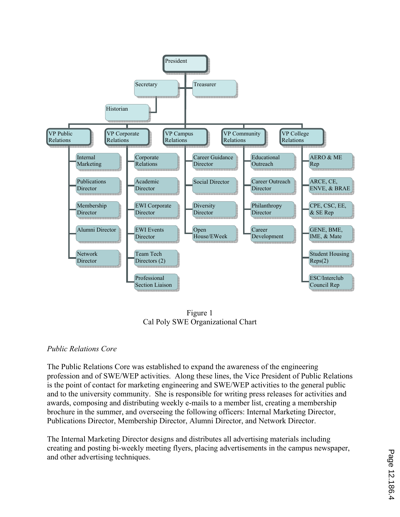

Figure 1 Cal Poly SWE Organizational Chart

### *Public Relations Core*

The Public Relations Core was established to expand the awareness of the engineering profession and of SWE/WEP activities. Along these lines, the Vice President of Public Relations is the point of contact for marketing engineering and SWE/WEP activities to the general public and to the university community. She is responsible for writing press releases for activities and awards, composing and distributing weekly e-mails to a member list, creating a membership brochure in the summer, and overseeing the following officers: Internal Marketing Director, Publications Director, Membership Director, Alumni Director, and Network Director.

The Internal Marketing Director designs and distributes all advertising materials including creating and posting bi-weekly meeting flyers, placing advertisements in the campus newspaper, and other advertising techniques.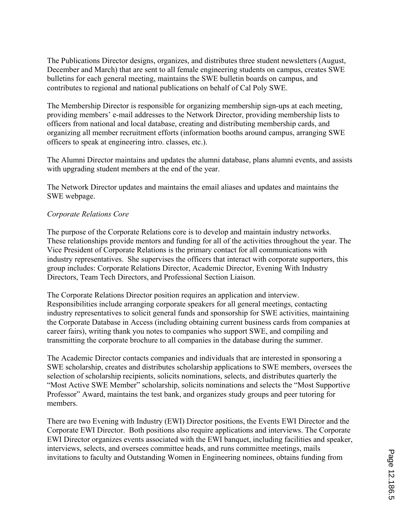The Publications Director designs, organizes, and distributes three student newsletters (August, December and March) that are sent to all female engineering students on campus, creates SWE bulletins for each general meeting, maintains the SWE bulletin boards on campus, and contributes to regional and national publications on behalf of Cal Poly SWE.

The Membership Director is responsible for organizing membership sign-ups at each meeting, providing members' e-mail addresses to the Network Director, providing membership lists to officers from national and local database, creating and distributing membership cards, and organizing all member recruitment efforts (information booths around campus, arranging SWE officers to speak at engineering intro. classes, etc.).

The Alumni Director maintains and updates the alumni database, plans alumni events, and assists with upgrading student members at the end of the year.

The Network Director updates and maintains the email aliases and updates and maintains the SWE webpage.

### *Corporate Relations Core*

The purpose of the Corporate Relations core is to develop and maintain industry networks. These relationships provide mentors and funding for all of the activities throughout the year. The Vice President of Corporate Relations is the primary contact for all communications with industry representatives. She supervises the officers that interact with corporate supporters, this group includes: Corporate Relations Director, Academic Director, Evening With Industry Directors, Team Tech Directors, and Professional Section Liaison.

The Corporate Relations Director position requires an application and interview. Responsibilities include arranging corporate speakers for all general meetings, contacting industry representatives to solicit general funds and sponsorship for SWE activities, maintaining the Corporate Database in Access (including obtaining current business cards from companies at career fairs), writing thank you notes to companies who support SWE, and compiling and transmitting the corporate brochure to all companies in the database during the summer.

The Academic Director contacts companies and individuals that are interested in sponsoring a SWE scholarship, creates and distributes scholarship applications to SWE members, oversees the selection of scholarship recipients, solicits nominations, selects, and distributes quarterly the "Most Active SWE Member" scholarship, solicits nominations and selects the "Most Supportive Professor" Award, maintains the test bank, and organizes study groups and peer tutoring for members.

There are two Evening with Industry (EWI) Director positions, the Events EWI Director and the Corporate EWI Director. Both positions also require applications and interviews. The Corporate EWI Director organizes events associated with the EWI banquet, including facilities and speaker, interviews, selects, and oversees committee heads, and runs committee meetings, mails invitations to faculty and Outstanding Women in Engineering nominees, obtains funding from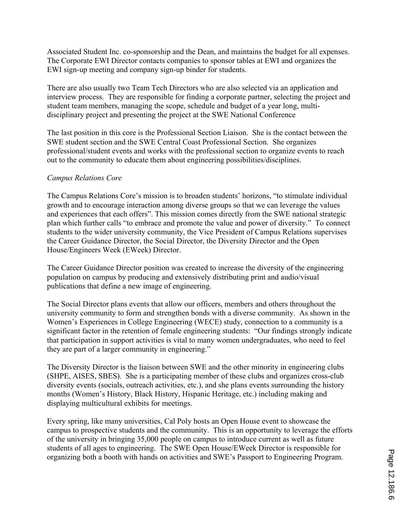Associated Student Inc. co-sponsorship and the Dean, and maintains the budget for all expenses. The Corporate EWI Director contacts companies to sponsor tables at EWI and organizes the EWI sign-up meeting and company sign-up binder for students.

There are also usually two Team Tech Directors who are also selected via an application and interview process. They are responsible for finding a corporate partner, selecting the project and student team members, managing the scope, schedule and budget of a year long, multidisciplinary project and presenting the project at the SWE National Conference

The last position in this core is the Professional Section Liaison. She is the contact between the SWE student section and the SWE Central Coast Professional Section. She organizes professional/student events and works with the professional section to organize events to reach out to the community to educate them about engineering possibilities/disciplines.

#### *Campus Relations Core*

The Campus Relations Core's mission is to broaden students' horizons, "to stimulate individual growth and to encourage interaction among diverse groups so that we can leverage the values and experiences that each offers". This mission comes directly from the SWE national strategic plan which further calls "to embrace and promote the value and power of diversity." To connect students to the wider university community, the Vice President of Campus Relations supervises the Career Guidance Director, the Social Director, the Diversity Director and the Open House/Engineers Week (EWeek) Director.

The Career Guidance Director position was created to increase the diversity of the engineering population on campus by producing and extensively distributing print and audio/visual publications that define a new image of engineering.

The Social Director plans events that allow our officers, members and others throughout the university community to form and strengthen bonds with a diverse community. As shown in the Women's Experiences in College Engineering (WECE) study, connection to a community is a significant factor in the retention of female engineering students: "Our findings strongly indicate that participation in support activities is vital to many women undergraduates, who need to feel they are part of a larger community in engineering."

The Diversity Director is the liaison between SWE and the other minority in engineering clubs (SHPE, AISES, SBES). She is a participating member of these clubs and organizes cross-club diversity events (socials, outreach activities, etc.), and she plans events surrounding the history months (Women's History, Black History, Hispanic Heritage, etc.) including making and displaying multicultural exhibits for meetings.

Every spring, like many universities, Cal Poly hosts an Open House event to showcase the campus to prospective students and the community. This is an opportunity to leverage the efforts of the university in bringing 35,000 people on campus to introduce current as well as future students of all ages to engineering. The SWE Open House/EWeek Director is responsible for organizing both a booth with hands on activities and SWE's Passport to Engineering Program.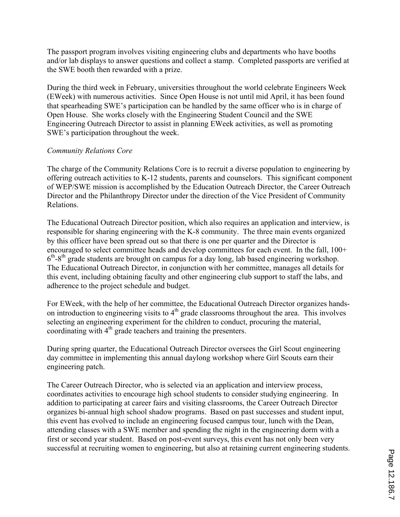The passport program involves visiting engineering clubs and departments who have booths and/or lab displays to answer questions and collect a stamp. Completed passports are verified at the SWE booth then rewarded with a prize.

During the third week in February, universities throughout the world celebrate Engineers Week (EWeek) with numerous activities. Since Open House is not until mid April, it has been found that spearheading SWE's participation can be handled by the same officer who is in charge of Open House. She works closely with the Engineering Student Council and the SWE Engineering Outreach Director to assist in planning EWeek activities, as well as promoting SWE's participation throughout the week.

#### *Community Relations Core*

The charge of the Community Relations Core is to recruit a diverse population to engineering by offering outreach activities to K-12 students, parents and counselors. This significant component of WEP/SWE mission is accomplished by the Education Outreach Director, the Career Outreach Director and the Philanthropy Director under the direction of the Vice President of Community Relations.

The Educational Outreach Director position, which also requires an application and interview, is responsible for sharing engineering with the K-8 community. The three main events organized by this officer have been spread out so that there is one per quarter and the Director is encouraged to select committee heads and develop committees for each event. In the fall, 100+  $6<sup>th</sup>-8<sup>th</sup>$  grade students are brought on campus for a day long, lab based engineering workshop. The Educational Outreach Director, in conjunction with her committee, manages all details for this event, including obtaining faculty and other engineering club support to staff the labs, and adherence to the project schedule and budget.

For EWeek, with the help of her committee, the Educational Outreach Director organizes handson introduction to engineering visits to  $4<sup>th</sup>$  grade classrooms throughout the area. This involves selecting an engineering experiment for the children to conduct, procuring the material, coordinating with  $4<sup>th</sup>$  grade teachers and training the presenters.

During spring quarter, the Educational Outreach Director oversees the Girl Scout engineering day committee in implementing this annual daylong workshop where Girl Scouts earn their engineering patch.

The Career Outreach Director, who is selected via an application and interview process, coordinates activities to encourage high school students to consider studying engineering. In addition to participating at career fairs and visiting classrooms, the Career Outreach Director organizes bi-annual high school shadow programs. Based on past successes and student input, this event has evolved to include an engineering focused campus tour, lunch with the Dean, attending classes with a SWE member and spending the night in the engineering dorm with a first or second year student. Based on post-event surveys, this event has not only been very successful at recruiting women to engineering, but also at retaining current engineering students.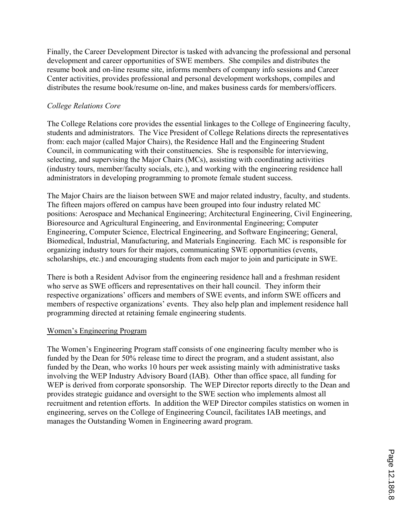Finally, the Career Development Director is tasked with advancing the professional and personal development and career opportunities of SWE members. She compiles and distributes the resume book and on-line resume site, informs members of company info sessions and Career Center activities, provides professional and personal development workshops, compiles and distributes the resume book/resume on-line, and makes business cards for members/officers.

#### *College Relations Core*

The College Relations core provides the essential linkages to the College of Engineering faculty, students and administrators. The Vice President of College Relations directs the representatives from: each major (called Major Chairs), the Residence Hall and the Engineering Student Council, in communicating with their constituencies. She is responsible for interviewing, selecting, and supervising the Major Chairs (MCs), assisting with coordinating activities (industry tours, member/faculty socials, etc.), and working with the engineering residence hall administrators in developing programming to promote female student success.

The Major Chairs are the liaison between SWE and major related industry, faculty, and students. The fifteen majors offered on campus have been grouped into four industry related MC positions: Aerospace and Mechanical Engineering; Architectural Engineering, Civil Engineering, Bioresource and Agricultural Engineering, and Environmental Engineering; Computer Engineering, Computer Science, Electrical Engineering, and Software Engineering; General, Biomedical, Industrial, Manufacturing, and Materials Engineering. Each MC is responsible for organizing industry tours for their majors, communicating SWE opportunities (events, scholarships, etc.) and encouraging students from each major to join and participate in SWE.

There is both a Resident Advisor from the engineering residence hall and a freshman resident who serve as SWE officers and representatives on their hall council. They inform their respective organizations' officers and members of SWE events, and inform SWE officers and members of respective organizations' events. They also help plan and implement residence hall programming directed at retaining female engineering students.

#### Women's Engineering Program

The Women's Engineering Program staff consists of one engineering faculty member who is funded by the Dean for 50% release time to direct the program, and a student assistant, also funded by the Dean, who works 10 hours per week assisting mainly with administrative tasks involving the WEP Industry Advisory Board (IAB). Other than office space, all funding for WEP is derived from corporate sponsorship. The WEP Director reports directly to the Dean and provides strategic guidance and oversight to the SWE section who implements almost all recruitment and retention efforts. In addition the WEP Director compiles statistics on women in engineering, serves on the College of Engineering Council, facilitates IAB meetings, and manages the Outstanding Women in Engineering award program.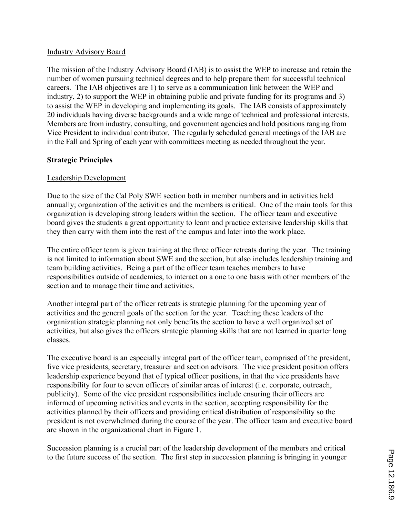#### Industry Advisory Board

The mission of the Industry Advisory Board (IAB) is to assist the WEP to increase and retain the number of women pursuing technical degrees and to help prepare them for successful technical careers. The IAB objectives are 1) to serve as a communication link between the WEP and industry, 2) to support the WEP in obtaining public and private funding for its programs and 3) to assist the WEP in developing and implementing its goals. The IAB consists of approximately 20 individuals having diverse backgrounds and a wide range of technical and professional interests. Members are from industry, consulting, and government agencies and hold positions ranging from Vice President to individual contributor. The regularly scheduled general meetings of the IAB are in the Fall and Spring of each year with committees meeting as needed throughout the year.

### **Strategic Principles**

### Leadership Development

Due to the size of the Cal Poly SWE section both in member numbers and in activities held annually; organization of the activities and the members is critical. One of the main tools for this organization is developing strong leaders within the section. The officer team and executive board gives the students a great opportunity to learn and practice extensive leadership skills that they then carry with them into the rest of the campus and later into the work place.

The entire officer team is given training at the three officer retreats during the year. The training is not limited to information about SWE and the section, but also includes leadership training and team building activities. Being a part of the officer team teaches members to have responsibilities outside of academics, to interact on a one to one basis with other members of the section and to manage their time and activities.

Another integral part of the officer retreats is strategic planning for the upcoming year of activities and the general goals of the section for the year. Teaching these leaders of the organization strategic planning not only benefits the section to have a well organized set of activities, but also gives the officers strategic planning skills that are not learned in quarter long classes.

The executive board is an especially integral part of the officer team, comprised of the president, five vice presidents, secretary, treasurer and section advisors. The vice president position offers leadership experience beyond that of typical officer positions, in that the vice presidents have responsibility for four to seven officers of similar areas of interest (i.e. corporate, outreach, publicity). Some of the vice president responsibilities include ensuring their officers are informed of upcoming activities and events in the section, accepting responsibility for the activities planned by their officers and providing critical distribution of responsibility so the president is not overwhelmed during the course of the year. The officer team and executive board are shown in the organizational chart in Figure 1.

Succession planning is a crucial part of the leadership development of the members and critical to the future success of the section. The first step in succession planning is bringing in younger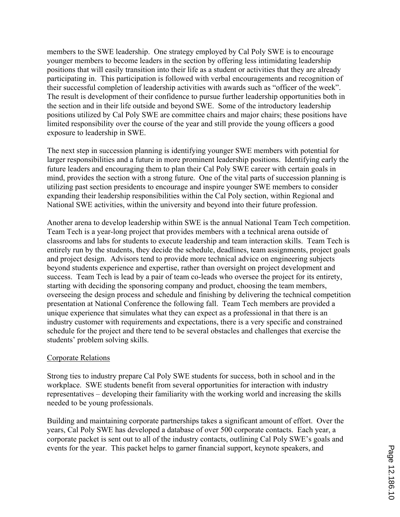members to the SWE leadership. One strategy employed by Cal Poly SWE is to encourage younger members to become leaders in the section by offering less intimidating leadership positions that will easily transition into their life as a student or activities that they are already participating in. This participation is followed with verbal encouragements and recognition of their successful completion of leadership activities with awards such as "officer of the week". The result is development of their confidence to pursue further leadership opportunities both in the section and in their life outside and beyond SWE. Some of the introductory leadership positions utilized by Cal Poly SWE are committee chairs and major chairs; these positions have limited responsibility over the course of the year and still provide the young officers a good exposure to leadership in SWE.

The next step in succession planning is identifying younger SWE members with potential for larger responsibilities and a future in more prominent leadership positions. Identifying early the future leaders and encouraging them to plan their Cal Poly SWE career with certain goals in mind, provides the section with a strong future. One of the vital parts of succession planning is utilizing past section presidents to encourage and inspire younger SWE members to consider expanding their leadership responsibilities within the Cal Poly section, within Regional and National SWE activities, within the university and beyond into their future profession.

Another arena to develop leadership within SWE is the annual National Team Tech competition. Team Tech is a year-long project that provides members with a technical arena outside of classrooms and labs for students to execute leadership and team interaction skills. Team Tech is entirely run by the students, they decide the schedule, deadlines, team assignments, project goals and project design. Advisors tend to provide more technical advice on engineering subjects beyond students experience and expertise, rather than oversight on project development and success. Team Tech is lead by a pair of team co-leads who oversee the project for its entirety, starting with deciding the sponsoring company and product, choosing the team members, overseeing the design process and schedule and finishing by delivering the technical competition presentation at National Conference the following fall. Team Tech members are provided a unique experience that simulates what they can expect as a professional in that there is an industry customer with requirements and expectations, there is a very specific and constrained schedule for the project and there tend to be several obstacles and challenges that exercise the students' problem solving skills.

### Corporate Relations

Strong ties to industry prepare Cal Poly SWE students for success, both in school and in the workplace. SWE students benefit from several opportunities for interaction with industry representatives – developing their familiarity with the working world and increasing the skills needed to be young professionals.

Building and maintaining corporate partnerships takes a significant amount of effort. Over the years, Cal Poly SWE has developed a database of over 500 corporate contacts. Each year, a corporate packet is sent out to all of the industry contacts, outlining Cal Poly SWE's goals and events for the year. This packet helps to garner financial support, keynote speakers, and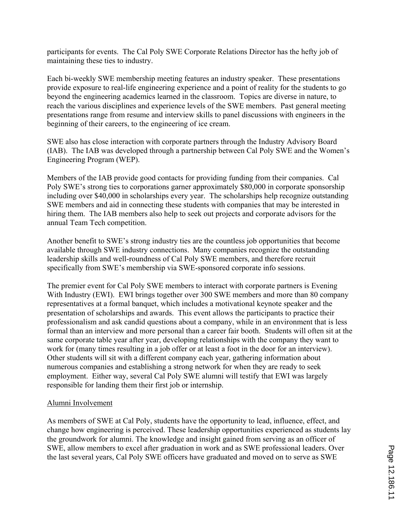participants for events. The Cal Poly SWE Corporate Relations Director has the hefty job of maintaining these ties to industry.

Each bi-weekly SWE membership meeting features an industry speaker. These presentations provide exposure to real-life engineering experience and a point of reality for the students to go beyond the engineering academics learned in the classroom. Topics are diverse in nature, to reach the various disciplines and experience levels of the SWE members. Past general meeting presentations range from resume and interview skills to panel discussions with engineers in the beginning of their careers, to the engineering of ice cream.

SWE also has close interaction with corporate partners through the Industry Advisory Board (IAB). The IAB was developed through a partnership between Cal Poly SWE and the Women's Engineering Program (WEP).

Members of the IAB provide good contacts for providing funding from their companies. Cal Poly SWE's strong ties to corporations garner approximately \$80,000 in corporate sponsorship including over \$40,000 in scholarships every year. The scholarships help recognize outstanding SWE members and aid in connecting these students with companies that may be interested in hiring them. The IAB members also help to seek out projects and corporate advisors for the annual Team Tech competition.

Another benefit to SWE's strong industry ties are the countless job opportunities that become available through SWE industry connections. Many companies recognize the outstanding leadership skills and well-roundness of Cal Poly SWE members, and therefore recruit specifically from SWE's membership via SWE-sponsored corporate info sessions.

The premier event for Cal Poly SWE members to interact with corporate partners is Evening With Industry (EWI). EWI brings together over 300 SWE members and more than 80 company representatives at a formal banquet, which includes a motivational keynote speaker and the presentation of scholarships and awards. This event allows the participants to practice their professionalism and ask candid questions about a company, while in an environment that is less formal than an interview and more personal than a career fair booth. Students will often sit at the same corporate table year after year, developing relationships with the company they want to work for (many times resulting in a job offer or at least a foot in the door for an interview). Other students will sit with a different company each year, gathering information about numerous companies and establishing a strong network for when they are ready to seek employment. Either way, several Cal Poly SWE alumni will testify that EWI was largely responsible for landing them their first job or internship.

#### Alumni Involvement

As members of SWE at Cal Poly, students have the opportunity to lead, influence, effect, and change how engineering is perceived. These leadership opportunities experienced as students lay the groundwork for alumni. The knowledge and insight gained from serving as an officer of SWE, allow members to excel after graduation in work and as SWE professional leaders. Over the last several years, Cal Poly SWE officers have graduated and moved on to serve as SWE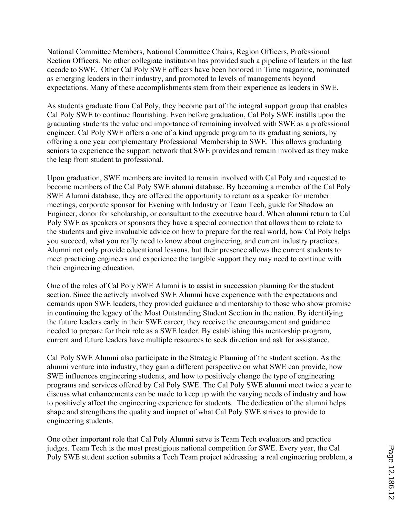National Committee Members, National Committee Chairs, Region Officers, Professional Section Officers. No other collegiate institution has provided such a pipeline of leaders in the last decade to SWE. Other Cal Poly SWE officers have been honored in Time magazine, nominated as emerging leaders in their industry, and promoted to levels of managements beyond expectations. Many of these accomplishments stem from their experience as leaders in SWE.

As students graduate from Cal Poly, they become part of the integral support group that enables Cal Poly SWE to continue flourishing. Even before graduation, Cal Poly SWE instills upon the graduating students the value and importance of remaining involved with SWE as a professional engineer. Cal Poly SWE offers a one of a kind upgrade program to its graduating seniors, by offering a one year complementary Professional Membership to SWE. This allows graduating seniors to experience the support network that SWE provides and remain involved as they make the leap from student to professional.

Upon graduation, SWE members are invited to remain involved with Cal Poly and requested to become members of the Cal Poly SWE alumni database. By becoming a member of the Cal Poly SWE Alumni database, they are offered the opportunity to return as a speaker for member meetings, corporate sponsor for Evening with Industry or Team Tech, guide for Shadow an Engineer, donor for scholarship, or consultant to the executive board. When alumni return to Cal Poly SWE as speakers or sponsors they have a special connection that allows them to relate to the students and give invaluable advice on how to prepare for the real world, how Cal Poly helps you succeed, what you really need to know about engineering, and current industry practices. Alumni not only provide educational lessons, but their presence allows the current students to meet practicing engineers and experience the tangible support they may need to continue with their engineering education.

One of the roles of Cal Poly SWE Alumni is to assist in succession planning for the student section. Since the actively involved SWE Alumni have experience with the expectations and demands upon SWE leaders, they provided guidance and mentorship to those who show promise in continuing the legacy of the Most Outstanding Student Section in the nation. By identifying the future leaders early in their SWE career, they receive the encouragement and guidance needed to prepare for their role as a SWE leader. By establishing this mentorship program, current and future leaders have multiple resources to seek direction and ask for assistance.

Cal Poly SWE Alumni also participate in the Strategic Planning of the student section. As the alumni venture into industry, they gain a different perspective on what SWE can provide, how SWE influences engineering students, and how to positively change the type of engineering programs and services offered by Cal Poly SWE. The Cal Poly SWE alumni meet twice a year to discuss what enhancements can be made to keep up with the varying needs of industry and how to positively affect the engineering experience for students. The dedication of the alumni helps shape and strengthens the quality and impact of what Cal Poly SWE strives to provide to engineering students.

One other important role that Cal Poly Alumni serve is Team Tech evaluators and practice judges. Team Tech is the most prestigious national competition for SWE. Every year, the Cal Poly SWE student section submits a Tech Team project addressing a real engineering problem, a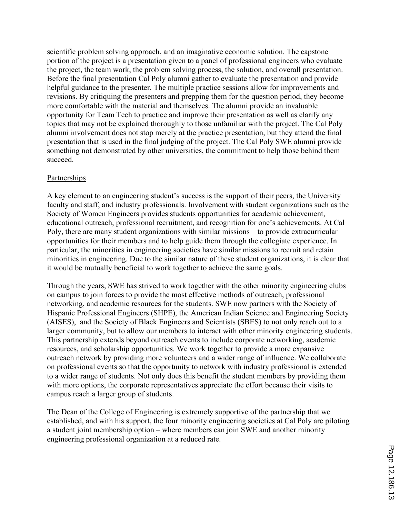scientific problem solving approach, and an imaginative economic solution. The capstone portion of the project is a presentation given to a panel of professional engineers who evaluate the project, the team work, the problem solving process, the solution, and overall presentation. Before the final presentation Cal Poly alumni gather to evaluate the presentation and provide helpful guidance to the presenter. The multiple practice sessions allow for improvements and revisions. By critiquing the presenters and prepping them for the question period, they become more comfortable with the material and themselves. The alumni provide an invaluable opportunity for Team Tech to practice and improve their presentation as well as clarify any topics that may not be explained thoroughly to those unfamiliar with the project. The Cal Poly alumni involvement does not stop merely at the practice presentation, but they attend the final presentation that is used in the final judging of the project. The Cal Poly SWE alumni provide something not demonstrated by other universities, the commitment to help those behind them succeed.

#### Partnerships

A key element to an engineering student's success is the support of their peers, the University faculty and staff, and industry professionals. Involvement with student organizations such as the Society of Women Engineers provides students opportunities for academic achievement, educational outreach, professional recruitment, and recognition for one's achievements. At Cal Poly, there are many student organizations with similar missions – to provide extracurricular opportunities for their members and to help guide them through the collegiate experience. In particular, the minorities in engineering societies have similar missions to recruit and retain minorities in engineering. Due to the similar nature of these student organizations, it is clear that it would be mutually beneficial to work together to achieve the same goals.

Through the years, SWE has strived to work together with the other minority engineering clubs on campus to join forces to provide the most effective methods of outreach, professional networking, and academic resources for the students. SWE now partners with the Society of Hispanic Professional Engineers (SHPE), the American Indian Science and Engineering Society (AISES), and the Society of Black Engineers and Scientists (SBES) to not only reach out to a larger community, but to allow our members to interact with other minority engineering students. This partnership extends beyond outreach events to include corporate networking, academic resources, and scholarship opportunities. We work together to provide a more expansive outreach network by providing more volunteers and a wider range of influence. We collaborate on professional events so that the opportunity to network with industry professional is extended to a wider range of students. Not only does this benefit the student members by providing them with more options, the corporate representatives appreciate the effort because their visits to campus reach a larger group of students.

The Dean of the College of Engineering is extremely supportive of the partnership that we established, and with his support, the four minority engineering societies at Cal Poly are piloting a student joint membership option – where members can join SWE and another minority engineering professional organization at a reduced rate.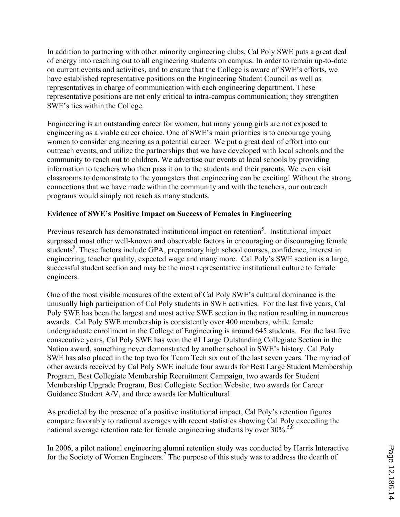In addition to partnering with other minority engineering clubs, Cal Poly SWE puts a great deal of energy into reaching out to all engineering students on campus. In order to remain up-to-date on current events and activities, and to ensure that the College is aware of SWE's efforts, we have established representative positions on the Engineering Student Council as well as representatives in charge of communication with each engineering department. These representative positions are not only critical to intra-campus communication; they strengthen SWE's ties within the College.

Engineering is an outstanding career for women, but many young girls are not exposed to engineering as a viable career choice. One of SWE's main priorities is to encourage young women to consider engineering as a potential career. We put a great deal of effort into our outreach events, and utilize the partnerships that we have developed with local schools and the community to reach out to children. We advertise our events at local schools by providing information to teachers who then pass it on to the students and their parents. We even visit classrooms to demonstrate to the youngsters that engineering can be exciting! Without the strong connections that we have made within the community and with the teachers, our outreach programs would simply not reach as many students.

### **Evidence of SWE's Positive Impact on Success of Females in Engineering**

Previous research has demonstrated institutional impact on retention<sup>5</sup>. Institutional impact surpassed most other well-known and observable factors in encouraging or discouraging female students<sup>5</sup>. These factors include GPA, preparatory high school courses, confidence, interest in engineering, teacher quality, expected wage and many more. Cal Poly's SWE section is a large, successful student section and may be the most representative institutional culture to female engineers.

One of the most visible measures of the extent of Cal Poly SWE's cultural dominance is the unusually high participation of Cal Poly students in SWE activities. For the last five years, Cal Poly SWE has been the largest and most active SWE section in the nation resulting in numerous awards. Cal Poly SWE membership is consistently over 400 members, while female undergraduate enrollment in the College of Engineering is around 645 students. For the last five consecutive years, Cal Poly SWE has won the #1 Large Outstanding Collegiate Section in the Nation award, something never demonstrated by another school in SWE's history. Cal Poly SWE has also placed in the top two for Team Tech six out of the last seven years. The myriad of other awards received by Cal Poly SWE include four awards for Best Large Student Membership Program, Best Collegiate Membership Recruitment Campaign, two awards for Student Membership Upgrade Program, Best Collegiate Section Website, two awards for Career Guidance Student A/V, and three awards for Multicultural.

As predicted by the presence of a positive institutional impact, Cal Poly's retention figures compare favorably to national averages with recent statistics showing Cal Poly exceeding the national average retention rate for female engineering students by over  $30\%$ .<sup>5,6</sup>

In 2006, a pilot national engineering alumni retention study was conducted by Harris Interactive for the Society of Women Engineers.<sup>7</sup> The purpose of this study was to address the dearth of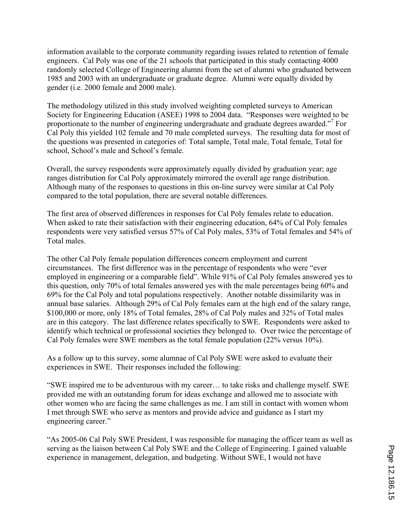information available to the corporate community regarding issues related to retention of female engineers. Cal Poly was one of the 21 schools that participated in this study contacting 4000 randomly selected College of Engineering alumni from the set of alumni who graduated between 1985 and 2003 with an undergraduate or graduate degree. Alumni were equally divided by gender (i.e. 2000 female and 2000 male).

The methodology utilized in this study involved weighting completed surveys to American Society for Engineering Education (ASEE) 1998 to 2004 data. "Responses were weighted to be proportionate to the number of engineering undergraduate and graduate degrees awarded."<sup>7</sup> For Cal Poly this yielded 102 female and 70 male completed surveys. The resulting data for most of the questions was presented in categories of: Total sample, Total male, Total female, Total for school, School's male and School's female.

Overall, the survey respondents were approximately equally divided by graduation year; age ranges distribution for Cal Poly approximately mirrored the overall age range distribution. Although many of the responses to questions in this on-line survey were similar at Cal Poly compared to the total population, there are several notable differences.

The first area of observed differences in responses for Cal Poly females relate to education. When asked to rate their satisfaction with their engineering education, 64% of Cal Poly females respondents were very satisfied versus 57% of Cal Poly males, 53% of Total females and 54% of Total males.

The other Cal Poly female population differences concern employment and current circumstances. The first difference was in the percentage of respondents who were "ever employed in engineering or a comparable field". While 91% of Cal Poly females answered yes to this question, only 70% of total females answered yes with the male percentages being 60% and 69% for the Cal Poly and total populations respectively. Another notable dissimilarity was in annual base salaries. Although 29% of Cal Poly females earn at the high end of the salary range, \$100,000 or more, only 18% of Total females, 28% of Cal Poly males and 32% of Total males are in this category. The last difference relates specifically to SWE. Respondents were asked to identify which technical or professional societies they belonged to. Over twice the percentage of Cal Poly females were SWE members as the total female population (22% versus 10%).

As a follow up to this survey, some alumnae of Cal Poly SWE were asked to evaluate their experiences in SWE. Their responses included the following:

"SWE inspired me to be adventurous with my career… to take risks and challenge myself. SWE provided me with an outstanding forum for ideas exchange and allowed me to associate with other women who are facing the same challenges as me. I am still in contact with women whom I met through SWE who serve as mentors and provide advice and guidance as I start my engineering career."

"As 2005-06 Cal Poly SWE President, I was responsible for managing the officer team as well as serving as the liaison between Cal Poly SWE and the College of Engineering. I gained valuable experience in management, delegation, and budgeting. Without SWE, I would not have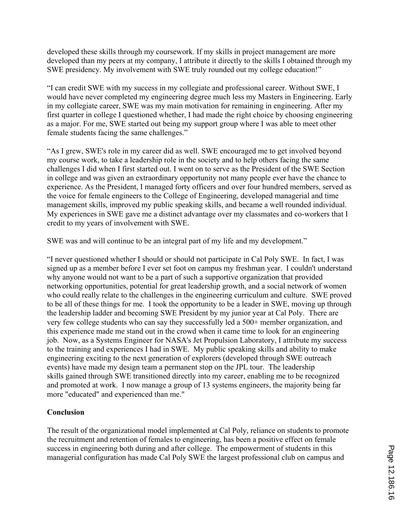developed these skills through my coursework. If my skills in project management are more developed than my peers at my company, I attribute it directly to the skills I obtained through my SWE presidency. My involvement with SWE truly rounded out my college education!"

"I can credit SWE with my success in my collegiate and professional career. Without SWE, I would have never completed my engineering degree much less my Masters in Engineering. Early in my collegiate career, SWE was my main motivation for remaining in engineering. After my first quarter in college I questioned whether, I had made the right choice by choosing engineering as a major. For me, SWE started out being my support group where I was able to meet other female students facing the same challenges."

"As I grew, SWE's role in my career did as well. SWE encouraged me to get involved beyond my course work, to take a leadership role in the society and to help others facing the same challenges I did when I first started out. I went on to serve as the President of the SWE Section in college and was given an extraordinary opportunity not many people ever have the chance to experience. As the President, I managed forty officers and over four hundred members, served as the voice for female engineers to the College of Engineering, developed managerial and time management skills, improved my public speaking skills, and became a well rounded individual. My experiences in SWE gave me a distinct advantage over my classmates and co-workers that I credit to my years of involvement with SWE.

SWE was and will continue to be an integral part of my life and my development."

"I never questioned whether I should or should not participate in Cal Poly SWE. In fact, I was signed up as a member before I ever set foot on campus my freshman year. I couldn't understand why anyone would not want to be a part of such a supportive organization that provided networking opportunities, potential for great leadership growth, and a social network of women who could really relate to the challenges in the engineering curriculum and culture. SWE proved to be all of these things for me. I took the opportunity to be a leader in SWE, moving up through the leadership ladder and becoming SWE President by my junior year at Cal Poly. There are very few college students who can say they successfully led a 500+ member organization, and this experience made me stand out in the crowd when it came time to look for an engineering job. Now, as a Systems Engineer for NASA's Jet Propulsion Laboratory, I attribute my success to the training and experiences I had in SWE. My public speaking skills and ability to make engineering exciting to the next generation of explorers (developed through SWE outreach events) have made my design team a permanent stop on the JPL tour. The leadership skills gained through SWE transitioned directly into my career, enabling me to be recognized and promoted at work. I now manage a group of 13 systems engineers, the majority being far more "educated" and experienced than me."

### **Conclusion**

The result of the organizational model implemented at Cal Poly, reliance on students to promote the recruitment and retention of females to engineering, has been a positive effect on female success in engineering both during and after college. The empowerment of students in this managerial configuration has made Cal Poly SWE the largest professional club on campus and